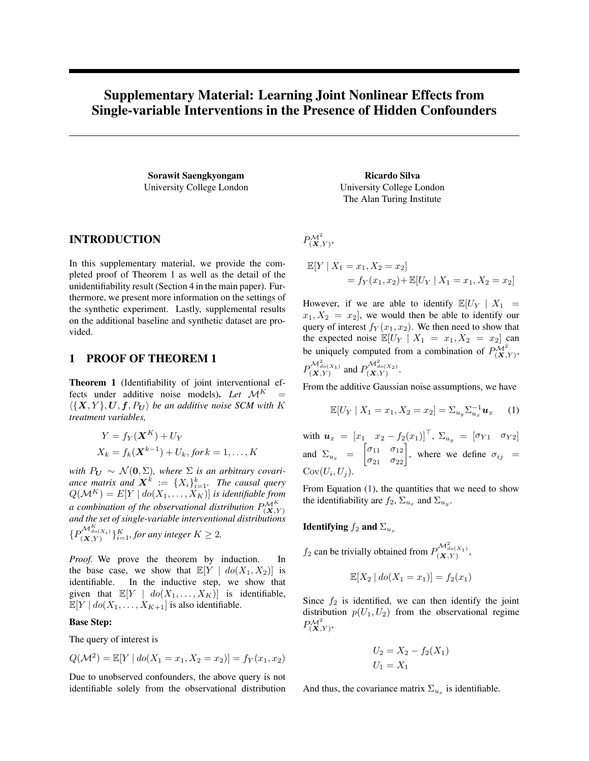# Supplementary Material: Learning Joint Nonlinear Effects from Single-variable Interventions in the Presence of Hidden Confounders

Sorawit Saengkyongam University College London

Ricardo Silva University College London The Alan Turing Institute

# INTRODUCTION

In this supplementary material, we provide the completed proof of Theorem 1 as well as the detail of the unidentifiability result (Section 4 in the main paper). Furthermore, we present more information on the settings of the synthetic experiment. Lastly, supplemental results on the additional baseline and synthetic dataset are provided.

# 1 PROOF OF THEOREM 1

Theorem 1 (Identifiability of joint interventional effects under additive noise models). Let  $\mathcal{M}^K$  $\langle \{X, Y\}, \boldsymbol{U}, \boldsymbol{f}, P_{\boldsymbol{U}}\rangle$  be an additive noise SCM with K *treatment variables,*

$$
Y = f_Y(\mathbf{X}^K) + U_Y
$$
  

$$
X_k = f_k(\mathbf{X}^{k-1}) + U_k, \text{ for } k = 1, ..., K
$$

*with*  $P_U \sim \mathcal{N}(0, \Sigma)$ , where  $\Sigma$  *is an arbitrary covari*ance matrix and  $\boldsymbol{X}^k := \{X_i\}_{i=1}^k$ . The causal query  $Q(\mathcal{M}^K) = E[Y \mid do(X_1, \ldots, X_K)]$  *is identifiable from a combination of the observational distribution*  $P_{(\mathbf{X},Y)}^{\mathcal{M}^K}$ *and the set of single-variable interventional distributions*  ${P_{(X,Y)}^{\mathcal{M}_{do(X_i)}^K}}_{i=1}^K$ , for any integer  $K \geq 2$ .

*Proof.* We prove the theorem by induction. In the base case, we show that  $\mathbb{E}[Y \mid do(X_1, X_2)]$  is identifiable. In the inductive step, we show that given that  $\mathbb{E}[Y \mid do(X_1, \ldots, X_K)]$  is identifiable,  $\mathbb{E}[Y \mid do(X_1, \ldots, X_{K+1}]$  is also identifiable.

### Base Step:

The query of interest is

$$
Q(\mathcal{M}^2) = \mathbb{E}[Y \mid do(X_1 = x_1, X_2 = x_2)] = f_Y(x_1, x_2)
$$

Due to unobserved confounders, the above query is not identifiable solely from the observational distribution  $P^{\mathcal{M}^2} _{(\boldsymbol{X}, Y)},$ 

$$
\mathbb{E}[Y | X_1 = x_1, X_2 = x_2]
$$
  
=  $f_Y(x_1, x_2) + \mathbb{E}[U_Y | X_1 = x_1, X_2 = x_2]$ 

However, if we are able to identify  $\mathbb{E}[U_Y | X_1 =$  $x_1, X_2 = x_2$ , we would then be able to identify our query of interest  $f_Y(x_1, x_2)$ . We then need to show that the expected noise  $\mathbb{E}[U_Y | X_1 = x_1, X_2 = x_2]$  can be uniquely computed from a combination of  $P_{(\mathbf{X}, Y)}^{\mathcal{M}^2}$ ,  $\mathcal{M}^2$  $\mathcal{M}^2$ .

$$
P_{(\mathbf{X},Y)}^{\mathbf{W}_{do}(X_1)}
$$
 and  $P_{(\mathbf{X},Y)}^{\mathbf{W}_{do}(X_2)}$ 

From the additive Gaussian noise assumptions, we have

<span id="page-0-0"></span>
$$
\mathbb{E}[U_Y | X_1 = x_1, X_2 = x_2] = \sum_{u_y} \sum_{u_x}^{-1} u_x \quad (1)
$$

with  $u_x = [x_1 \ x_2 - f_2(x_1)]^\top$ ,  $\Sigma_{u_y} = [\sigma_{Y1} \ \sigma_{Y2}]$ and  $\Sigma_{u_x} = \begin{bmatrix} \sigma_{11} & \sigma_{12} \\ \sigma_{21} & \sigma_{22} \end{bmatrix}$ , where we define  $\sigma_{ij} =$  $Cov(U_i, U_j).$ 

From Equation  $(1)$ , the quantities that we need to show the identifiability are  $f_2$ ,  $\Sigma_{u_x}$  and  $\Sigma_{u_y}$ .

Identifying  $f_2$  and  $\Sigma_{u_x}$ 

 $f_2$  can be trivially obtained from  $P_{(\mathbf{X},Y)}^{\mathcal{M}_{do(X_1)}^2}$ ,

$$
\mathbb{E}[X_2 \,|\, do(X_1 = x_1)] = f_2(x_1)
$$

Since  $f_2$  is identified, we can then identify the joint distribution  $p(U_1, U_2)$  from the observational regime  $P^{\mathcal{M}^2} _{(\boldsymbol{X}, Y)},$ 

$$
U_2 = X_2 - f_2(X_1)
$$
  

$$
U_1 = X_1
$$

And thus, the covariance matrix  $\Sigma_{u_x}$  is identifiable.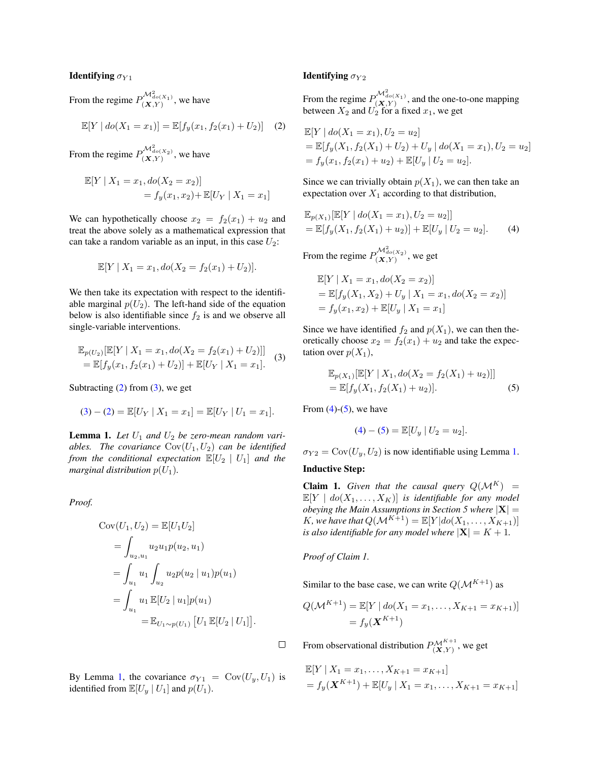#### **Identifying**  $\sigma_{Y1}$

From the regime  $P_{(\mathbf{X}, Y)}^{\mathcal{M}^2_{do(X_1)}}$ , we have

<span id="page-1-0"></span>
$$
\mathbb{E}[Y \mid do(X_1 = x_1)] = \mathbb{E}[f_y(x_1, f_2(x_1) + U_2)] \quad (2)
$$

From the regime  $P_{(\mathbf{X},Y)}^{\mathcal{M}^2_{do(X_2)}}$ , we have

$$
\mathbb{E}[Y | X_1 = x_1, do(X_2 = x_2)]
$$
  
=  $f_y(x_1, x_2) + \mathbb{E}[U_Y | X_1 = x_1]$ 

We can hypothetically choose  $x_2 = f_2(x_1) + u_2$  and treat the above solely as a mathematical expression that can take a random variable as an input, in this case  $U_2$ :

$$
\mathbb{E}[Y \mid X_1 = x_1, do(X_2 = f_2(x_1) + U_2)].
$$

We then take its expectation with respect to the identifiable marginal  $p(U_2)$ . The left-hand side of the equation below is also identifiable since  $f_2$  is and we observe all single-variable interventions.

<span id="page-1-1"></span>
$$
\mathbb{E}_{p(U_2)}[\mathbb{E}[Y | X_1 = x_1, do(X_2 = f_2(x_1) + U_2)]]
$$
  
= 
$$
\mathbb{E}[f_y(x_1, f_2(x_1) + U_2)] + \mathbb{E}[U_Y | X_1 = x_1].
$$
 (3)

Subtracting  $(2)$  from  $(3)$ , we get

$$
(3) - (2) = \mathbb{E}[U_Y | X_1 = x_1] = \mathbb{E}[U_Y | U_1 = x_1].
$$

<span id="page-1-2"></span>**Lemma 1.** Let  $U_1$  and  $U_2$  be zero-mean random vari*ables. The covariance*  $Cov(U_1, U_2)$  *can be identified from the conditional expectation*  $\mathbb{E}[U_2 | U_1]$  *and the marginal distribution*  $p(U_1)$ *.* 

*Proof.*

$$
Cov(U_1, U_2) = \mathbb{E}[U_1 U_2]
$$
  
=  $\int_{u_2, u_1} u_2 u_1 p(u_2, u_1)$   
=  $\int_{u_1} u_1 \int_{u_2} u_2 p(u_2 | u_1) p(u_1)$   
=  $\int_{u_1} u_1 \mathbb{E}[U_2 | u_1] p(u_1)$   
=  $\mathbb{E}_{U_1 \sim p(U_1)} [U_1 \mathbb{E}[U_2 | U_1]].$ 

By Lemma [1,](#page-1-2) the covariance  $\sigma_{Y1} = \text{Cov}(U_y, U_1)$  is identified from  $\mathbb{E}[U_y | U_1]$  and  $p(U_1)$ .

### Identifying  $\sigma_{Y2}$

From the regime  $P_{(\mathbf{X},Y)}^{\mathcal{M}_{do(X_1)}^2}$ , and the one-to-one mapping between  $X_2$  and  $U_2$  for a fixed  $x_1$ , we get

$$
\mathbb{E}[Y \mid do(X_1 = x_1), U_2 = u_2]
$$
  
=  $\mathbb{E}[f_y(X_1, f_2(X_1) + U_2) + U_y \mid do(X_1 = x_1), U_2 = u_2]$   
=  $f_y(x_1, f_2(x_1) + u_2) + \mathbb{E}[U_y \mid U_2 = u_2].$ 

Since we can trivially obtain  $p(X_1)$ , we can then take an expectation over  $X_1$  according to that distribution,

$$
\mathbb{E}_{p(X_1)}[\mathbb{E}[Y \mid do(X_1 = x_1), U_2 = u_2]]
$$
  
=  $\mathbb{E}[f_y(X_1, f_2(X_1) + u_2)] + \mathbb{E}[U_y \mid U_2 = u_2].$  (4)

From the regime  $P_{(\mathbf{X},Y)}^{\mathcal{M}_{do(X_2)}^2}$ , we get

<span id="page-1-3"></span>
$$
\mathbb{E}[Y | X_1 = x_1, do(X_2 = x_2)]
$$
  
=  $\mathbb{E}[f_y(X_1, X_2) + U_y | X_1 = x_1, do(X_2 = x_2)]$   
=  $f_y(x_1, x_2) + \mathbb{E}[U_y | X_1 = x_1]$ 

Since we have identified  $f_2$  and  $p(X_1)$ , we can then theoretically choose  $x_2 = f_2(x_1) + u_2$  and take the expectation over  $p(X_1)$ ,

$$
\mathbb{E}_{p(X_1)}[\mathbb{E}[Y | X_1, do(X_2 = f_2(X_1) + u_2)]]
$$
  
=  $\mathbb{E}[f_y(X_1, f_2(X_1) + u_2)].$  (5)

From  $(4)-(5)$  $(4)-(5)$  $(4)-(5)$ , we have

<span id="page-1-4"></span>
$$
(4) - (5) = \mathbb{E}[U_y | U_2 = u_2].
$$

 $\sigma_{Y2} = \text{Cov}(U_y, U_2)$  is now identifiable using Lemma [1.](#page-1-2)

### Inductive Step:

**Claim 1.** Given that the causal query  $Q(M^K)$  =  $\mathbb{E}[Y \mid do(X_1, \ldots, X_K)]$  *is identifiable for any model obeying the Main Assumptions in Section 5 where* |X| = *K*, we have that  $Q(\mathcal{M}^{K+1}) = \mathbb{E}[Y|do(X_1, ..., X_{K+1})]$ *is also identifiable for any model where*  $|\mathbf{X}| = K + 1$ *.* 

*Proof of Claim 1.*

 $\Box$ 

Similar to the base case, we can write  $Q(\mathcal{M}^{K+1})$  as

$$
Q(\mathcal{M}^{K+1}) = \mathbb{E}[Y \mid do(X_1 = x_1, ..., X_{K+1} = x_{K+1})]
$$
  
=  $f_y(\mathbf{X}^{K+1})$ 

From observational distribution  $P_{(\mathbf{X}, Y)}^{\mathcal{M}^{K+1}}$ , we get

$$
\mathbb{E}[Y | X_1 = x_1, \dots, X_{K+1} = x_{K+1}]
$$
  
=  $f_y(\mathbf{X}^{K+1}) + \mathbb{E}[U_y | X_1 = x_1, \dots, X_{K+1} = x_{K+1}]$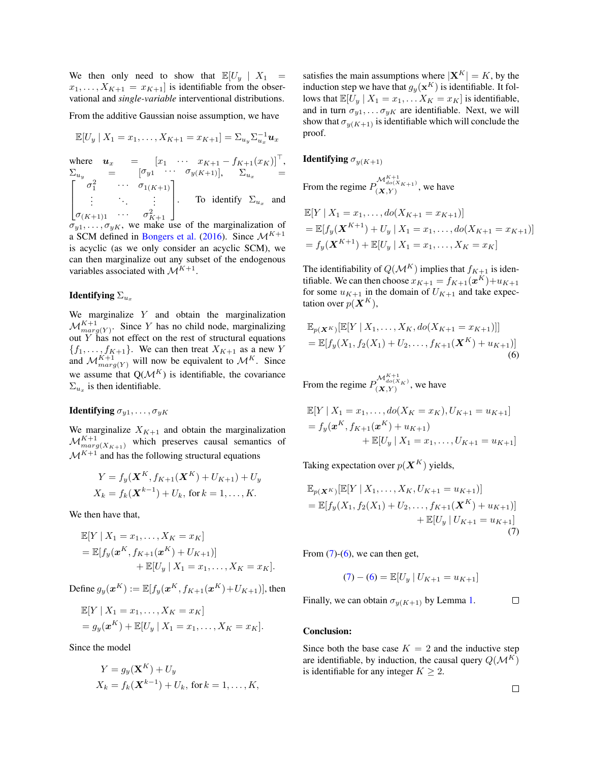We then only need to show that  $\mathbb{E}[U_u | X_1 =$  $x_1, \ldots, X_{K+1} = x_{K+1}$  is identifiable from the observational and *single-variable* interventional distributions.

From the additive Gaussian noise assumption, we have

$$
\mathbb{E}[U_y \mid X_1 = x_1, \ldots, X_{K+1} = x_{K+1}] = \sum_{u_y} \sum_{u_x}^{-1} u_x
$$

where  $\mathbf{u}_x = \begin{bmatrix} x_1 & \cdots & x_{K+1} - f_{K+1}(x_K) \end{bmatrix}^\top$ ,  $\Sigma_{u_y}$  =  $\left[\sigma_{y1} \cdots \sigma_{y(K+1)}\right], \Sigma_{u_x}$  =  $\lceil$  $\overline{\phantom{a}}$  $\sigma_1^2$   $\cdots$   $\sigma_{1(K+1)}$ .<br>.<br>.  $\sigma_{(K+1)1} \quad \cdots \quad \sigma_{K+1}^2$ 1  $\Big| \cdot \Big|$  To identify  $\Sigma_{u_x}$  and

 $\sigma_{y1}, \ldots, \sigma_{yK}$ , we make use of the marginalization of a SCM defined in [Bongers et al.](#page-5-0) [\(2016\)](#page-5-0). Since  $\mathcal{M}^{K+1}$ is acyclic (as we only consider an acyclic SCM), we can then marginalize out any subset of the endogenous variables associated with  $\mathcal{M}^{K+1}$ .

### Identifying  $\Sigma_{u_x}$

We marginalize Y and obtain the marginalization  $\mathcal{M}_{marg(Y)}^{K+1}$ . Since Y has no child node, marginalizing out  $Y$  has not effect on the rest of structural equations  ${f_1, \ldots, f_{K+1}}$ . We can then treat  $X_{K+1}$  as a new Y and  $\mathcal{M}_{marg(Y)}^{K+1}$  will now be equivalent to  $\mathcal{M}^{K}$ . Since we assume that  $Q(\mathcal{M}^K)$  is identifiable, the covariance  $\Sigma_{u_x}$  is then identifiable.

# **Identifying**  $\sigma_{y1}, \ldots, \sigma_{yK}$

We marginalize  $X_{K+1}$  and obtain the marginalization  $\mathcal{M}^{K+1}_{marg(X_{K+1})}$  which preserves causal semantics of  $\mathcal{M}^{K+1}$  and has the following structural equations

$$
Y = f_y(\mathbf{X}^K, f_{K+1}(\mathbf{X}^K) + U_{K+1}) + U_y
$$
  

$$
X_k = f_k(\mathbf{X}^{k-1}) + U_k, \text{ for } k = 1, ..., K.
$$

We then have that,

$$
\mathbb{E}[Y | X_1 = x_1, ..., X_K = x_K]
$$
  
=  $\mathbb{E}[f_y(\mathbf{x}^K, f_{K+1}(\mathbf{x}^K) + U_{K+1})]$   
+  $\mathbb{E}[U_y | X_1 = x_1, ..., X_K = x_K].$ 

Define  $g_y(\boldsymbol{x}^K) := \mathbb{E}[f_y(\boldsymbol{x}^K, f_{K+1}(\boldsymbol{x}^K) + U_{K+1})]$ , then

$$
\mathbb{E}[Y \mid X_1 = x_1, \dots, X_K = x_K] \n= g_y(\mathbf{x}^K) + \mathbb{E}[U_y \mid X_1 = x_1, \dots, X_K = x_K].
$$

Since the model

$$
Y = g_y(\mathbf{X}^K) + U_y
$$
  
\n
$$
X_k = f_k(\mathbf{X}^{k-1}) + U_k, \text{ for } k = 1, ..., K,
$$

satisfies the main assumptions where  $|\mathbf{X}^{K}| = K$ , by the induction step we have that  $g_y(\mathbf{x}^K)$  is identifiable. It follows that  $\mathbb{E}[U_y | X_1 = x_1, \dots X_K = x_K]$  is identifiable, and in turn  $\sigma_{y1}, \ldots, \sigma_{yK}$  are identifiable. Next, we will show that  $\sigma_{\nu}(K+1)$  is identifiable which will conclude the proof.

**Identifying**  $\sigma_{\nu}(K+1)$ 

From the regime  $P_{(\mathbf{X}, Y)}^{\mathcal{M}_{do(X_{K+1})}^{K+1}}$ , we have

$$
\mathbb{E}[Y | X_1 = x_1, ..., do(X_{K+1} = x_{K+1})]
$$
  
=  $\mathbb{E}[f_y(\mathbf{X}^{K+1}) + U_y | X_1 = x_1, ..., do(X_{K+1} = x_{K+1})]$   
=  $f_y(\mathbf{X}^{K+1}) + \mathbb{E}[U_y | X_1 = x_1, ..., X_K = x_K]$ 

The identifiability of  $Q(\mathcal{M}^K)$  implies that  $f_{K+1}$  is identifiable. We can then choose  $x_{K+1} = f_{K+1}(\boldsymbol{x}^K) + u_{K+1}$ for some  $u_{K+1}$  in the domain of  $U_{K+1}$  and take expectation over  $p(\boldsymbol{X}^K)$ ,

<span id="page-2-1"></span>
$$
\mathbb{E}_{p(\mathbf{X}^K)}[\mathbb{E}[Y | X_1, \dots, X_K, do(X_{K+1} = x_{K+1})]]
$$
  
= 
$$
\mathbb{E}[f_y(X_1, f_2(X_1) + U_2, \dots, f_{K+1}(\mathbf{X}^K) + u_{K+1})]
$$
  
(6)

From the regime  $P_{(\mathbf{X},Y)}^{\mathcal{M}_{do(X_K)}^{K+1}}$ , we have

$$
\mathbb{E}[Y | X_1 = x_1, ..., do(X_K = x_K), U_{K+1} = u_{K+1}]
$$
  
=  $f_y(\mathbf{x}^K, f_{K+1}(\mathbf{x}^K) + u_{K+1})$   
+  $\mathbb{E}[U_y | X_1 = x_1, ..., U_{K+1} = u_{K+1}]$ 

Taking expectation over  $p(\boldsymbol{X}^K)$  yields,

$$
\mathbb{E}_{p(\mathbf{X}^K)}[\mathbb{E}[Y | X_1, \dots, X_K, U_{K+1} = u_{K+1})]
$$
\n
$$
= \mathbb{E}[f_y(X_1, f_2(X_1) + U_2, \dots, f_{K+1}(\mathbf{X}^K) + u_{K+1})] + \mathbb{E}[U_y | U_{K+1} = u_{K+1}]
$$
\n(7)

From  $(7)-(6)$  $(7)-(6)$  $(7)-(6)$ , we can then get,

<span id="page-2-0"></span>
$$
(7) - (6) = \mathbb{E}[U_y | U_{K+1} = u_{K+1}]
$$

Finally, we can obtain  $\sigma_{\nu(K+1)}$  by Lemma [1.](#page-1-2)  $\Box$ 

#### Conclusion:

Since both the base case  $K = 2$  and the inductive step are identifiable, by induction, the causal query  $Q(\mathcal{M}^K)$ is identifiable for any integer  $K \geq 2$ .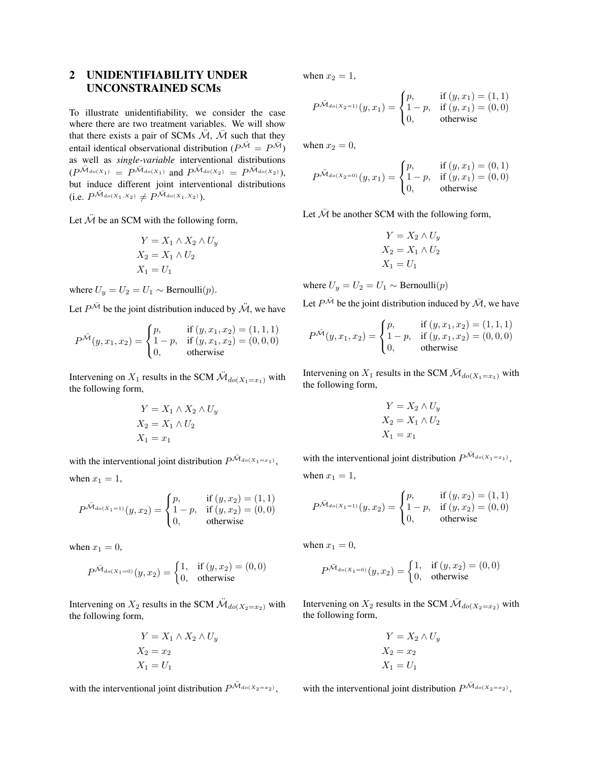# 2 UNIDENTIFIABILITY UNDER UNCONSTRAINED SCMs

To illustrate unidentifiability, we consider the case where there are two treatment variables. We will show that there exists a pair of SCMs  $\tilde{\mathcal{M}}$ ,  $\tilde{\mathcal{M}}$  such that they entail identical observational distribution ( $P^{\mathcal{H}} = P^{\mathcal{H}}$ ) as well as *single-variable* interventional distributions  $(P^{\tilde{M}_{do(X_1)}} = P^{\tilde{M}_{do(X_1)}} \text{ and } P^{\tilde{M}_{do(X_2)}} = P^{\tilde{M}_{do(X_2)}}),$ but induce different joint interventional distributions (i.e.  $P^{\mathcal{M}_{do(X_1,X_2)}} \neq P^{\mathcal{M}_{do(X_1,X_2)}}$ ).

Let  $\ddot{M}$  be an SCM with the following form,

$$
Y = X_1 \wedge X_2 \wedge U_y
$$
  
\n
$$
X_2 = X_1 \wedge U_2
$$
  
\n
$$
X_1 = U_1
$$

where  $U_y = U_2 = U_1 \sim \text{Bernoulli}(p)$ .

Let  $P^{\mathcal{M}}$  be the joint distribution induced by  $\mathcal{\ddot{M}}$ , we have

$$
P^{\tilde{\mathcal{M}}}(y, x_1, x_2) = \begin{cases} p, & \text{if } (y, x_1, x_2) = (1, 1, 1) \\ 1 - p, & \text{if } (y, x_1, x_2) = (0, 0, 0) \\ 0, & \text{otherwise} \end{cases}
$$

Intervening on  $X_1$  results in the SCM  $\ddot{M}_{do(X_1=x_1)}$  with the following form,

$$
Y = X_1 \wedge X_2 \wedge U_y
$$
  
\n
$$
X_2 = X_1 \wedge U_2
$$
  
\n
$$
X_1 = x_1
$$

with the interventional joint distribution  $P^{\mathcal{M}_{do(X_1=x_1)}},$ when  $x_1 = 1$ ,

$$
P^{\ddot{M}_{do(X_1=1)}}(y,x_2)=\begin{cases} p,& \text{if } (y,x_2)=(1,1) \\ 1-p,& \text{if } (y,x_2)=(0,0) \\ 0,& \text{otherwise} \end{cases}
$$

when  $x_1 = 0$ ,

$$
P^{\ddot{M}_{do(X_1=0)}}(y,x_2) = \begin{cases} 1, & \text{if } (y,x_2) = (0,0) \\ 0, & \text{otherwise} \end{cases}
$$

Intervening on  $X_2$  results in the SCM  $\ddot{M}_{do(X_2=x_2)}$  with the following form,

$$
Y = X_1 \wedge X_2 \wedge U_y
$$
  
\n
$$
X_2 = x_2
$$
  
\n
$$
X_1 = U_1
$$

with the interventional joint distribution  $P^{\mathcal{M}_{do(X_2=x_2)}},$ 

when  $x_2 = 1$ ,

$$
P^{\ddot{M}_{do(X_2=1)}}(y,x_1) = \begin{cases} p, & \text{if } (y,x_1) = (1,1) \\ 1-p, & \text{if } (y,x_1) = (0,0) \\ 0, & \text{otherwise} \end{cases}
$$

when  $x_2 = 0$ ,

$$
P^{\ddot{M}_{do(X_2=0)}}(y,x_1) = \begin{cases} p, & \text{if } (y,x_1) = (0,1) \\ 1-p, & \text{if } (y,x_1) = (0,0) \\ 0, & \text{otherwise} \end{cases}
$$

Let  $\overline{\mathcal{M}}$  be another SCM with the following form,

$$
Y = X_2 \wedge U_y
$$
  
\n
$$
X_2 = X_1 \wedge U_2
$$
  
\n
$$
X_1 = U_1
$$

where  $U_y = U_2 = U_1 \sim \text{Bernoulli}(p)$ 

Let  $P^{\bar{\mathcal{M}}}$  be the joint distribution induced by  $\bar{\mathcal{M}}$ , we have

$$
P^{\bar{\mathcal{M}}}(y, x_1, x_2) = \begin{cases} p, & \text{if } (y, x_1, x_2) = (1, 1, 1) \\ 1 - p, & \text{if } (y, x_1, x_2) = (0, 0, 0) \\ 0, & \text{otherwise} \end{cases}
$$

Intervening on  $X_1$  results in the SCM  $\bar{\mathcal{M}}_{do(X_1=x_1)}$  with the following form,

$$
Y = X_2 \wedge U_y
$$
  
\n
$$
X_2 = X_1 \wedge U_2
$$
  
\n
$$
X_1 = x_1
$$

with the interventional joint distribution  $P^{\bar{\mathcal{M}}_{do(X_1=x_1)}},$ when  $x_1 = 1$ ,

$$
P^{\bar{\mathcal{M}}_{do(X_1=1)}}(y, x_2) = \begin{cases} p, & \text{if } (y, x_2) = (1, 1) \\ 1 - p, & \text{if } (y, x_2) = (0, 0) \end{cases}
$$

 $\mathcal{L}$ 

0, otherwise

when  $x_1 = 0$ ,

$$
P^{\bar{\mathcal{M}}_{do(X_1=0)}}(y, x_2) = \begin{cases} 1, & \text{if } (y, x_2) = (0, 0) \\ 0, & \text{otherwise} \end{cases}
$$

Intervening on  $X_2$  results in the SCM  $\bar{\mathcal{M}}_{do(X_2=x_2)}$  with the following form,

$$
Y = X_2 \wedge U_y
$$
  
\n
$$
X_2 = x_2
$$
  
\n
$$
X_1 = U_1
$$

with the interventional joint distribution  $P^{\bar{\mathcal{M}}_{do(X_2=x_2)}},$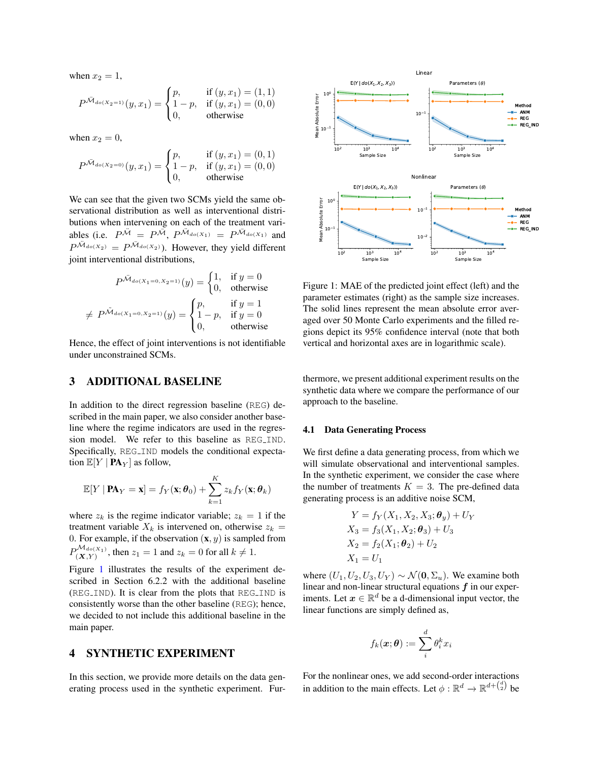when  $x_2 = 1$ ,

$$
P^{\bar{\mathcal{M}}_{do(X_2=1)}}(y, x_1) = \begin{cases} p, & \text{if } (y, x_1) = (1, 1) \\ 1 - p, & \text{if } (y, x_1) = (0, 0) \\ 0, & \text{otherwise} \end{cases}
$$

when  $x_2 = 0$ ,

$$
P^{\bar{\mathcal{M}}_{do(X_2=0)}}(y,x_1) = \begin{cases} p, & \text{if } (y,x_1) = (0,1) \\ 1-p, & \text{if } (y,x_1) = (0,0) \\ 0, & \text{otherwise} \end{cases}
$$

We can see that the given two SCMs yield the same observational distribution as well as interventional distributions when intervening on each of the treatment variables (i.e.  $P^{\tilde{M}} = P^{\tilde{M}}$ ,  $P^{\tilde{M}_{do(X_1)}} = P^{\tilde{M}_{do(X_1)}}$  and  $P^{\tilde{\mathcal{M}}_{do(X_2)}} = P^{\tilde{\mathcal{M}}_{do(X_2)}}$ ). However, they yield different joint interventional distributions,

$$
P^{\tilde{\mathcal{M}}_{do(X_1=0,X_2=1)}}(y) = \begin{cases} 1, & \text{if } y=0\\ 0, & \text{otherwise} \end{cases}
$$
  
\n
$$
\neq P^{\tilde{\mathcal{M}}_{do(X_1=0,X_2=1)}}(y) = \begin{cases} p, & \text{if } y=1\\ 1-p, & \text{if } y=0\\ 0, & \text{otherwise} \end{cases}
$$

Hence, the effect of joint interventions is not identifiable under unconstrained SCMs.

# 3 ADDITIONAL BASELINE

In addition to the direct regression baseline (REG) described in the main paper, we also consider another baseline where the regime indicators are used in the regression model. We refer to this baseline as REG\_IND. Specifically, REG\_IND models the conditional expectation  $\mathbb{E}[Y | \mathbf{PA}_Y]$  as follow,

$$
\mathbb{E}[Y | \mathbf{PA}_Y = \mathbf{x}] = f_Y(\mathbf{x}; \boldsymbol{\theta}_0) + \sum_{k=1}^K z_k f_Y(\mathbf{x}; \boldsymbol{\theta}_k)
$$

where  $z_k$  is the regime indicator variable;  $z_k = 1$  if the treatment variable  $X_k$  is intervened on, otherwise  $z_k =$ 0. For example, if the observation  $(x, y)$  is sampled from  $P_{(\mathbf{X}, Y)}^{\mathcal{M}_{do(X_1)}}$ , then  $z_1 = 1$  and  $z_k = 0$  for all  $k \neq 1$ .

Figure [1](#page-4-0) illustrates the results of the experiment described in Section 6.2.2 with the additional baseline (REG IND). It is clear from the plots that REG IND is consistently worse than the other baseline (REG); hence, we decided to not include this additional baseline in the main paper.

# 4 SYNTHETIC EXPERIMENT

In this section, we provide more details on the data generating process used in the synthetic experiment. Fur-

<span id="page-4-0"></span>

Figure 1: MAE of the predicted joint effect (left) and the parameter estimates (right) as the sample size increases. The solid lines represent the mean absolute error averaged over 50 Monte Carlo experiments and the filled regions depict its 95% confidence interval (note that both vertical and horizontal axes are in logarithmic scale).

thermore, we present additional experiment results on the synthetic data where we compare the performance of our approach to the baseline.

#### 4.1 Data Generating Process

We first define a data generating process, from which we will simulate observational and interventional samples. In the synthetic experiment, we consider the case where the number of treatments  $K = 3$ . The pre-defined data generating process is an additive noise SCM,

$$
Y = f_Y(X_1, X_2, X_3; \theta_y) + U_Y
$$
  
\n
$$
X_3 = f_3(X_1, X_2; \theta_3) + U_3
$$
  
\n
$$
X_2 = f_2(X_1; \theta_2) + U_2
$$
  
\n
$$
X_1 = U_1
$$

where  $(U_1, U_2, U_3, U_Y) \sim \mathcal{N}(\mathbf{0}, \Sigma_u)$ . We examine both linear and non-linear structural equations  $f$  in our experiments. Let  $x \in \mathbb{R}^d$  be a d-dimensional input vector, the linear functions are simply defined as,

$$
f_k(\bm{x};\bm{\theta}) := \sum_i^d \theta_i^k x_i
$$

For the nonlinear ones, we add second-order interactions in addition to the main effects. Let  $\phi : \mathbb{R}^d \to \mathbb{R}^{d + \binom{d}{2}}$  be